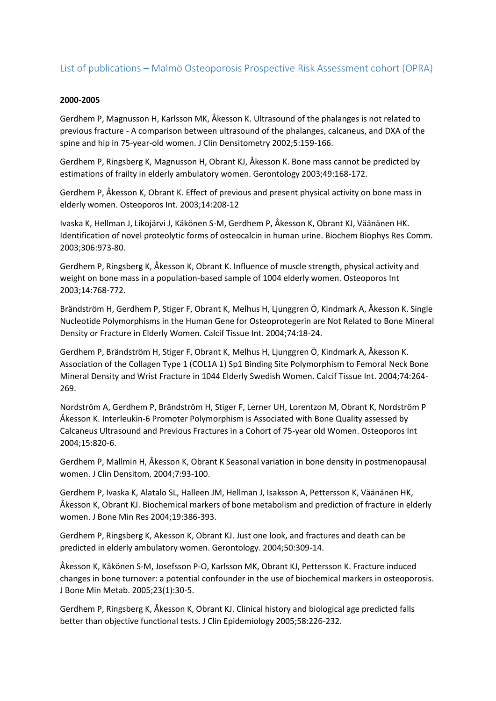# List of publications – Malmö Osteoporosis Prospective Risk Assessment cohort (OPRA)

#### **2000-2005**

Gerdhem P, Magnusson H, Karlsson MK, Åkesson K. Ultrasound of the phalanges is not related to previous fracture - A comparison between ultrasound of the phalanges, calcaneus, and DXA of the spine and hip in 75-year-old women. J Clin Densitometry 2002;5:159-166.

Gerdhem P, Ringsberg K, Magnusson H, Obrant KJ, Åkesson K. Bone mass cannot be predicted by estimations of frailty in elderly ambulatory women. Gerontology 2003;49:168-172.

Gerdhem P, Åkesson K, Obrant K. Effect of previous and present physical activity on bone mass in elderly women. Osteoporos Int. 2003;14:208-12

Ivaska K, Hellman J, Likojärvi J, Käkönen S-M, Gerdhem P, Åkesson K, Obrant KJ, Väänänen HK. Identification of novel proteolytic forms of osteocalcin in human urine. Biochem Biophys Res Comm. 2003;306:973-80.

Gerdhem P, Ringsberg K, Åkesson K, Obrant K. Influence of muscle strength, physical activity and weight on bone mass in a population-based sample of 1004 elderly women. Osteoporos Int 2003;14:768-772.

Brändström H, Gerdhem P, Stiger F, Obrant K, Melhus H, Ljunggren Ö, Kindmark A, Åkesson K. Single Nucleotide Polymorphisms in the Human Gene for Osteoprotegerin are Not Related to Bone Mineral Density or Fracture in Elderly Women. Calcif Tissue Int. 2004;74:18-24.

Gerdhem P, Brändström H, Stiger F, Obrant K, Melhus H, Ljunggren Ö, Kindmark A, Åkesson K. Association of the Collagen Type 1 (COL1A 1) Sp1 Binding Site Polymorphism to Femoral Neck Bone Mineral Density and Wrist Fracture in 1044 Elderly Swedish Women. Calcif Tissue Int. 2004;74:264- 269.

Nordström A, Gerdhem P, Brändström H, Stiger F, Lerner UH, Lorentzon M, Obrant K, Nordström P Åkesson K. Interleukin-6 Promoter Polymorphism is Associated with Bone Quality assessed by Calcaneus Ultrasound and Previous Fractures in a Cohort of 75-year old Women. Osteoporos Int 2004;15:820-6.

Gerdhem P, Mallmin H, Åkesson K, Obrant K Seasonal variation in bone density in postmenopausal women. J Clin Densitom. 2004;7:93-100.

Gerdhem P, Ivaska K, Alatalo SL, Halleen JM, Hellman J, Isaksson A, Pettersson K, Väänänen HK, Åkesson K, Obrant KJ. Biochemical markers of bone metabolism and prediction of fracture in elderly women. J Bone Min Res 2004;19:386-393.

Gerdhem P, Ringsberg K, Akesson K, Obrant KJ. Just one look, and fractures and death can be predicted in elderly ambulatory women. Gerontology. 2004;50:309-14.

Åkesson K, Käkönen S-M, Josefsson P-O, Karlsson MK, Obrant KJ, Pettersson K. Fracture induced changes in bone turnover: a potential confounder in the use of biochemical markers in osteoporosis. J Bone Min Metab. 2005;23(1):30-5.

Gerdhem P, Ringsberg K, Åkesson K, Obrant KJ. Clinical history and biological age predicted falls better than objective functional tests. J Clin Epidemiology 2005;58:226-232.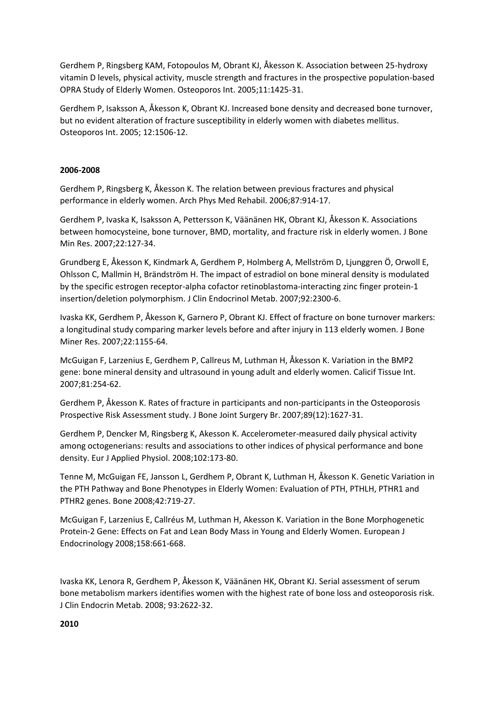Gerdhem P, Ringsberg KAM, Fotopoulos M, Obrant KJ, Åkesson K. Association between 25-hydroxy vitamin D levels, physical activity, muscle strength and fractures in the prospective population-based OPRA Study of Elderly Women. Osteoporos Int. 2005;11:1425-31.

Gerdhem P, Isaksson A, Åkesson K, Obrant KJ. Increased bone density and decreased bone turnover, but no evident alteration of fracture susceptibility in elderly women with diabetes mellitus. Osteoporos Int. 2005; 12:1506-12.

## **2006-2008**

Gerdhem P, Ringsberg K, Åkesson K. The relation between previous fractures and physical performance in elderly women. Arch Phys Med Rehabil. 2006;87:914-17.

Gerdhem P, Ivaska K, Isaksson A, Pettersson K, Väänänen HK, Obrant KJ, Åkesson K. Associations between homocysteine, bone turnover, BMD, mortality, and fracture risk in elderly women. J Bone Min Res. 2007;22:127-34.

Grundberg E, Åkesson K, Kindmark A, Gerdhem P, Holmberg A, Mellström D, Ljunggren Ö, Orwoll E, Ohlsson C, Mallmin H, Brändström H. The impact of estradiol on bone mineral density is modulated by the specific estrogen receptor-alpha cofactor retinoblastoma-interacting zinc finger protein-1 insertion/deletion polymorphism. J Clin Endocrinol Metab. 2007;92:2300-6.

Ivaska KK, Gerdhem P, Åkesson K, Garnero P, Obrant KJ. Effect of fracture on bone turnover markers: a longitudinal study comparing marker levels before and after injury in 113 elderly women. J Bone Miner Res. 2007;22:1155-64.

McGuigan F, Larzenius E, Gerdhem P, Callreus M, Luthman H, Åkesson K. Variation in the BMP2 gene: bone mineral density and ultrasound in young adult and elderly women. Calicif Tissue Int. 2007;81:254-62.

Gerdhem P, Åkesson K. Rates of fracture in participants and non-participants in the Osteoporosis Prospective Risk Assessment study. J Bone Joint Surgery Br. 2007;89(12):1627-31.

Gerdhem P, Dencker M, Ringsberg K, Akesson K. Accelerometer-measured daily physical activity among octogenerians: results and associations to other indices of physical performance and bone density. Eur J Applied Physiol. 2008;102:173-80.

Tenne M, McGuigan FE, Jansson L, Gerdhem P, Obrant K, Luthman H, Åkesson K. Genetic Variation in the PTH Pathway and Bone Phenotypes in Elderly Women: Evaluation of PTH, PTHLH, PTHR1 and PTHR2 genes. Bone 2008;42:719-27.

McGuigan F, Larzenius E, Callréus M, Luthman H, Akesson K. Variation in the Bone Morphogenetic Protein-2 Gene: Effects on Fat and Lean Body Mass in Young and Elderly Women. European J Endocrinology 2008;158:661-668.

Ivaska KK, Lenora R, Gerdhem P, Åkesson K, Väänänen HK, Obrant KJ. Serial assessment of serum bone metabolism markers identifies women with the highest rate of bone loss and osteoporosis risk. J Clin Endocrin Metab. 2008; 93:2622-32.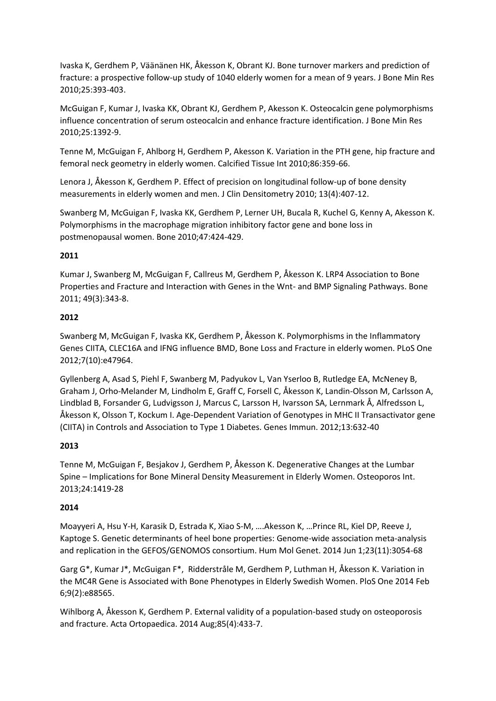Ivaska K, Gerdhem P, Väänänen HK, Åkesson K, Obrant KJ. Bone turnover markers and prediction of fracture: a prospective follow-up study of 1040 elderly women for a mean of 9 years. J Bone Min Res 2010;25:393-403.

McGuigan F, Kumar J, Ivaska KK, Obrant KJ, Gerdhem P, Akesson K. Osteocalcin gene polymorphisms influence concentration of serum osteocalcin and enhance fracture identification. J Bone Min Res 2010;25:1392-9.

Tenne M, McGuigan F, Ahlborg H, Gerdhem P, Akesson K. Variation in the PTH gene, hip fracture and femoral neck geometry in elderly women. Calcified Tissue Int 2010;86:359-66.

Lenora J, Åkesson K, Gerdhem P. Effect of precision on longitudinal follow-up of bone density measurements in elderly women and men. J Clin Densitometry 2010; 13(4):407-12.

Swanberg M, McGuigan F, Ivaska KK, Gerdhem P, Lerner UH, Bucala R, Kuchel G, Kenny A, Akesson K. Polymorphisms in the macrophage migration inhibitory factor gene and bone loss in postmenopausal women. Bone 2010;47:424-429.

# **2011**

Kumar J, Swanberg M, McGuigan F, Callreus M, Gerdhem P, Åkesson K. LRP4 Association to Bone Properties and Fracture and Interaction with Genes in the Wnt- and BMP Signaling Pathways. Bone 2011; 49(3):343-8.

## **2012**

Swanberg M, McGuigan F, Ivaska KK, Gerdhem P, Åkesson K. Polymorphisms in the Inflammatory Genes CIITA, CLEC16A and IFNG influence BMD, Bone Loss and Fracture in elderly women. PLoS One 2012;7(10):e47964.

Gyllenberg A, Asad S, Piehl F, Swanberg M, Padyukov L, Van Yserloo B, Rutledge EA, McNeney B, Graham J, Orho-Melander M, Lindholm E, Graff C, Forsell C, Åkesson K, Landin-Olsson M, Carlsson A, Lindblad B, Forsander G, Ludvigsson J, Marcus C, Larsson H, Ivarsson SA, Lernmark Å, Alfredsson L, Åkesson K, Olsson T, Kockum I. Age-Dependent Variation of Genotypes in MHC II Transactivator gene (CIITA) in Controls and Association to Type 1 Diabetes. Genes Immun. 2012;13:632-40

# **2013**

Tenne M, McGuigan F, Besjakov J, Gerdhem P, Åkesson K. Degenerative Changes at the Lumbar Spine – Implications for Bone Mineral Density Measurement in Elderly Women. Osteoporos Int. 2013;24:1419-28

#### **2014**

Moayyeri A, Hsu Y-H, Karasik D, Estrada K, Xiao S-M, ….Akesson K, …Prince RL, Kiel DP, Reeve J, Kaptoge S. Genetic determinants of heel bone properties: Genome-wide association meta-analysis and replication in the GEFOS/GENOMOS consortium. Hum Mol Genet. 2014 Jun 1;23(11):3054-68

Garg G\*, Kumar J\*, McGuigan F\*, Ridderstråle M, Gerdhem P, Luthman H, Åkesson K. Variation in the MC4R Gene is Associated with Bone Phenotypes in Elderly Swedish Women. PloS One 2014 Feb 6;9(2):e88565.

Wihlborg A, Åkesson K, Gerdhem P. External validity of a population-based study on osteoporosis and fracture. Acta Ortopaedica. 2014 Aug;85(4):433-7.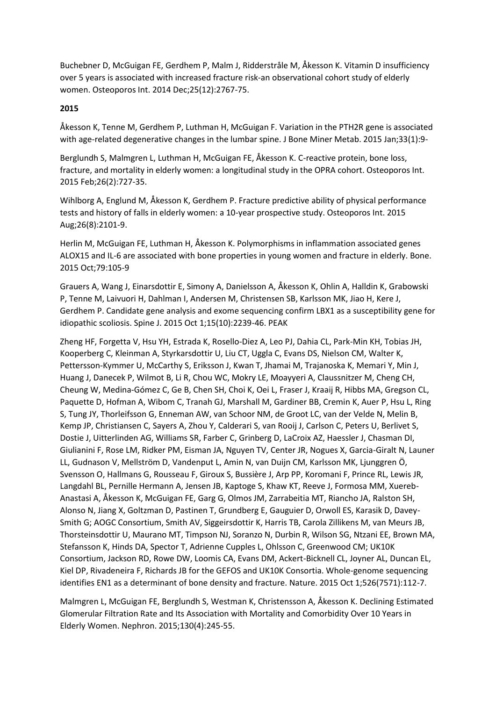Buchebner D, McGuigan FE, Gerdhem P, Malm J, Ridderstråle M, Åkesson K. Vitamin D insufficiency over 5 years is associated with increased fracture risk-an observational cohort study of elderly women. Osteoporos Int. 2014 Dec;25(12):2767-75.

## **2015**

Åkesson K, Tenne M, Gerdhem P, Luthman H, McGuigan F. Variation in the PTH2R gene is associated with age-related degenerative changes in the lumbar spine. J Bone Miner Metab. 2015 Jan;33(1):9-

Berglundh S, Malmgren L, Luthman H, McGuigan FE, Åkesson K. C-reactive protein, bone loss, fracture, and mortality in elderly women: a longitudinal study in the OPRA cohort. Osteoporos Int. 2015 Feb;26(2):727-35.

Wihlborg A, Englund M, Åkesson K, Gerdhem P. Fracture predictive ability of physical performance tests and history of falls in elderly women: a 10-year prospective study. Osteoporos Int. 2015 Aug;26(8):2101-9.

Herlin M, McGuigan FE, Luthman H, Åkesson K. Polymorphisms in inflammation associated genes ALOX15 and IL-6 are associated with bone properties in young women and fracture in elderly. Bone. 2015 Oct;79:105-9

Grauers A, Wang J, Einarsdottir E, Simony A, Danielsson A, Åkesson K, Ohlin A, Halldin K, Grabowski P, Tenne M, Laivuori H, Dahlman I, Andersen M, Christensen SB, Karlsson MK, Jiao H, Kere J, Gerdhem P. Candidate gene analysis and exome sequencing confirm LBX1 as a susceptibility gene for idiopathic scoliosis. Spine J. 2015 Oct 1;15(10):2239-46. PEAK

Zheng HF, Forgetta V, Hsu YH, Estrada K, Rosello-Diez A, Leo PJ, Dahia CL, Park-Min KH, Tobias JH, Kooperberg C, Kleinman A, Styrkarsdottir U, Liu CT, Uggla C, Evans DS, Nielson CM, Walter K, Pettersson-Kymmer U, McCarthy S, Eriksson J, Kwan T, Jhamai M, Trajanoska K, Memari Y, Min J, Huang J, Danecek P, Wilmot B, Li R, Chou WC, Mokry LE, Moayyeri A, Claussnitzer M, Cheng CH, Cheung W, Medina-Gómez C, Ge B, Chen SH, Choi K, Oei L, Fraser J, Kraaij R, Hibbs MA, Gregson CL, Paquette D, Hofman A, Wibom C, Tranah GJ, Marshall M, Gardiner BB, Cremin K, Auer P, Hsu L, Ring S, Tung JY, Thorleifsson G, Enneman AW, van Schoor NM, de Groot LC, van der Velde N, Melin B, Kemp JP, Christiansen C, Sayers A, Zhou Y, Calderari S, van Rooij J, Carlson C, Peters U, Berlivet S, Dostie J, Uitterlinden AG, Williams SR, Farber C, Grinberg D, LaCroix AZ, Haessler J, Chasman DI, Giulianini F, Rose LM, Ridker PM, Eisman JA, Nguyen TV, Center JR, Nogues X, Garcia-Giralt N, Launer LL, Gudnason V, Mellström D, Vandenput L, Amin N, van Duijn CM, Karlsson MK, Ljunggren Ö, Svensson O, Hallmans G, Rousseau F, Giroux S, Bussière J, Arp PP, Koromani F, Prince RL, Lewis JR, Langdahl BL, Pernille Hermann A, Jensen JB, Kaptoge S, Khaw KT, Reeve J, Formosa MM, Xuereb-Anastasi A, Åkesson K, McGuigan FE, Garg G, Olmos JM, Zarrabeitia MT, Riancho JA, Ralston SH, Alonso N, Jiang X, Goltzman D, Pastinen T, Grundberg E, Gauguier D, Orwoll ES, Karasik D, Davey-Smith G; AOGC Consortium, Smith AV, Siggeirsdottir K, Harris TB, Carola Zillikens M, van Meurs JB, Thorsteinsdottir U, Maurano MT, Timpson NJ, Soranzo N, Durbin R, Wilson SG, Ntzani EE, Brown MA, Stefansson K, Hinds DA, Spector T, Adrienne Cupples L, Ohlsson C, Greenwood CM; UK10K Consortium, Jackson RD, Rowe DW, Loomis CA, Evans DM, Ackert-Bicknell CL, Joyner AL, Duncan EL, Kiel DP, Rivadeneira F, Richards JB for the GEFOS and UK10K Consortia. Whole-genome sequencing identifies EN1 as a determinant of bone density and fracture. Nature. 2015 Oct 1;526(7571):112-7.

Malmgren L, McGuigan FE, Berglundh S, Westman K, Christensson A, Åkesson K. Declining Estimated Glomerular Filtration Rate and Its Association with Mortality and Comorbidity Over 10 Years in Elderly Women. Nephron. 2015;130(4):245-55.